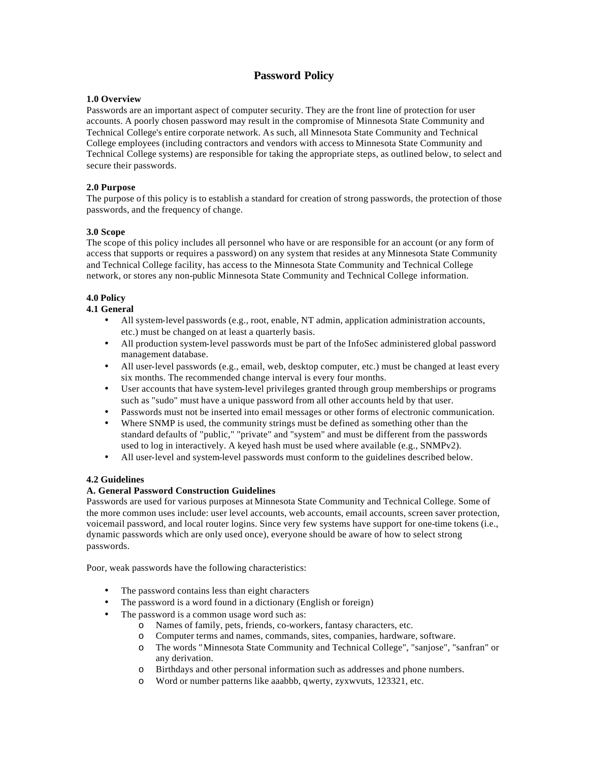# **Password Policy**

# **1.0 Overview**

Passwords are an important aspect of computer security. They are the front line of protection for user accounts. A poorly chosen password may result in the compromise of Minnesota State Community and Technical College's entire corporate network. As such, all Minnesota State Community and Technical College employees (including contractors and vendors with access to Minnesota State Community and Technical College systems) are responsible for taking the appropriate steps, as outlined below, to select and secure their passwords.

# **2.0 Purpose**

The purpose of this policy is to establish a standard for creation of strong passwords, the protection of those passwords, and the frequency of change.

### **3.0 Scope**

The scope of this policy includes all personnel who have or are responsible for an account (or any form of access that supports or requires a password) on any system that resides at any Minnesota State Community and Technical College facility, has access to the Minnesota State Community and Technical College network, or stores any non-public Minnesota State Community and Technical College information.

### **4.0 Policy**

# **4.1 General**

- All system-level passwords (e.g., root, enable, NT admin, application administration accounts, etc.) must be changed on at least a quarterly basis.
- All production system-level passwords must be part of the InfoSec administered global password management database.
- All user-level passwords (e.g., email, web, desktop computer, etc.) must be changed at least every six months. The recommended change interval is every four months.
- User accounts that have system-level privileges granted through group memberships or programs such as "sudo" must have a unique password from all other accounts held by that user.
- Passwords must not be inserted into email messages or other forms of electronic communication.
- Where SNMP is used, the community strings must be defined as something other than the standard defaults of "public," "private" and "system" and must be different from the passwords used to log in interactively. A keyed hash must be used where available (e.g., SNMPv2).
- All user-level and system-level passwords must conform to the guidelines described below.

# **4.2 Guidelines**

# **A. General Password Construction Guidelines**

Passwords are used for various purposes at Minnesota State Community and Technical College. Some of the more common uses include: user level accounts, web accounts, email accounts, screen saver protection, voicemail password, and local router logins. Since very few systems have support for one-time tokens (i.e., dynamic passwords which are only used once), everyone should be aware of how to select strong passwords.

Poor, weak passwords have the following characteristics:

- The password contains less than eight characters
- The password is a word found in a dictionary (English or foreign)
- The password is a common usage word such as:
	- o Names of family, pets, friends, co-workers, fantasy characters, etc.
	- o Computer terms and names, commands, sites, companies, hardware, software.
	- o The words "Minnesota State Community and Technical College", "sanjose", "sanfran" or any derivation.
	- o Birthdays and other personal information such as addresses and phone numbers.
	- o Word or number patterns like aaabbb, qwerty, zyxwvuts, 123321, etc.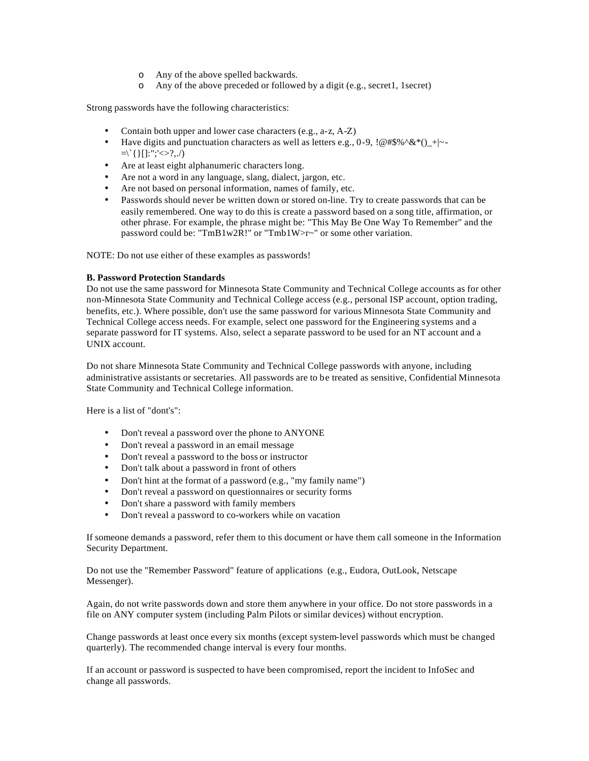- o Any of the above spelled backwards.
- o Any of the above preceded or followed by a digit (e.g., secret1, 1secret)

Strong passwords have the following characteristics:

- Contain both upper and lower case characters (e.g., a-z, A-Z)
- Have digits and punctuation characters as well as letters e.g., 0-9,  $@$ #\$%^&\*()\_+|~- $=\left\{ \{ \}[[:":':<>?,.)\right\}$
- Are at least eight alphanumeric characters long.
- Are not a word in any language, slang, dialect, jargon, etc.
- Are not based on personal information, names of family, etc.
- Passwords should never be written down or stored on-line. Try to create passwords that can be easily remembered. One way to do this is create a password based on a song title, affirmation, or other phrase. For example, the phrase might be: "This May Be One Way To Remember" and the password could be: "TmB1w2R!" or "Tmb1W>r~" or some other variation.

NOTE: Do not use either of these examples as passwords!

#### **B. Password Protection Standards**

Do not use the same password for Minnesota State Community and Technical College accounts as for other non-Minnesota State Community and Technical College access (e.g., personal ISP account, option trading, benefits, etc.). Where possible, don't use the same password for various Minnesota State Community and Technical College access needs. For example, select one password for the Engineering systems and a separate password for IT systems. Also, select a separate password to be used for an NT account and a UNIX account.

Do not share Minnesota State Community and Technical College passwords with anyone, including administrative assistants or secretaries. All passwords are to be treated as sensitive, Confidential Minnesota State Community and Technical College information.

Here is a list of "dont's":

- Don't reveal a password over the phone to ANYONE
- Don't reveal a password in an email message
- Don't reveal a password to the boss or instructor
- Don't talk about a password in front of others
- Don't hint at the format of a password (e.g., "my family name")
- Don't reveal a password on questionnaires or security forms
- Don't share a password with family members
- Don't reveal a password to co-workers while on vacation

If someone demands a password, refer them to this document or have them call someone in the Information Security Department.

Do not use the "Remember Password" feature of applications (e.g., Eudora, OutLook, Netscape Messenger).

Again, do not write passwords down and store them anywhere in your office. Do not store passwords in a file on ANY computer system (including Palm Pilots or similar devices) without encryption.

Change passwords at least once every six months (except system-level passwords which must be changed quarterly). The recommended change interval is every four months.

If an account or password is suspected to have been compromised, report the incident to InfoSec and change all passwords.